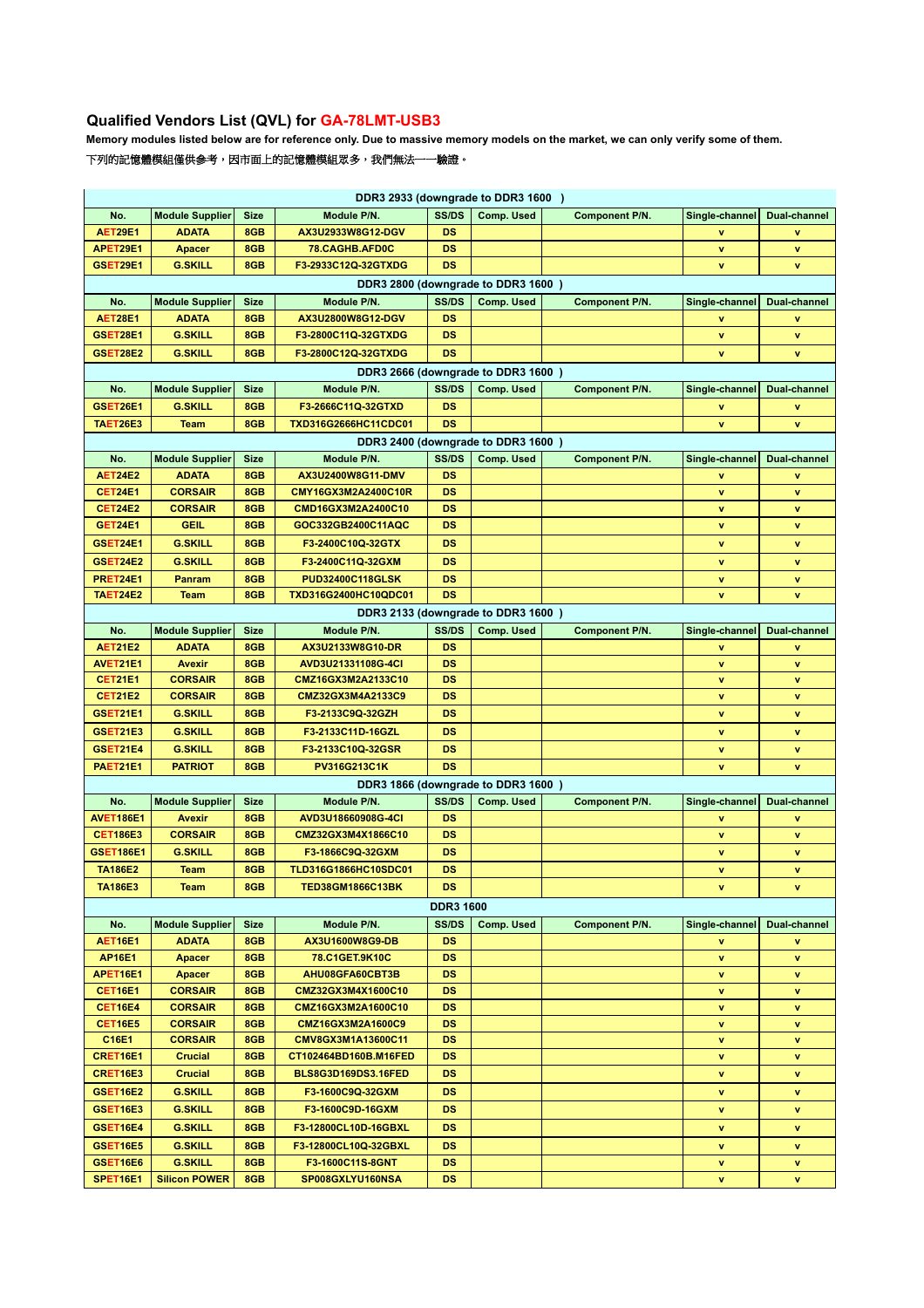## **Qualified Vendors List (QVL) for GA-78LMT-USB3**

**Memory modules listed below are for reference only. Due to massive memory models on the market, we can only verify some of them.**

## 下列的記憶體模組僅供參考,因市面上的記憶體模組眾多,我們無法一一驗證。

| DDR3 2933 (downgrade to DDR3 1600)                                                                                                            |                                  |             |                                         |                        |                                    |                       |                |              |  |  |  |  |  |
|-----------------------------------------------------------------------------------------------------------------------------------------------|----------------------------------|-------------|-----------------------------------------|------------------------|------------------------------------|-----------------------|----------------|--------------|--|--|--|--|--|
| No.                                                                                                                                           | <b>Module Supplier</b>           | <b>Size</b> | Module P/N.                             | SS/DS                  | <b>Comp. Used</b>                  | <b>Component P/N.</b> | Single-channel | Dual-channel |  |  |  |  |  |
| <b>AET29E1</b>                                                                                                                                | <b>ADATA</b>                     | 8GB         | AX3U2933W8G12-DGV                       | DS                     |                                    |                       | v              | v            |  |  |  |  |  |
| APET29E1                                                                                                                                      | Apacer                           | 8GB         | 78.CAGHB.AFD0C                          | DS                     |                                    |                       | v              | v            |  |  |  |  |  |
| GSET29E1                                                                                                                                      | <b>G.SKILL</b>                   | 8GB         | F3-2933C12Q-32GTXDG                     | DS                     |                                    |                       | v              | v            |  |  |  |  |  |
| DDR3 2800 (downgrade to DDR3 1600)                                                                                                            |                                  |             |                                         |                        |                                    |                       |                |              |  |  |  |  |  |
| No.                                                                                                                                           | <b>Module Supplier</b>           | <b>Size</b> | Module P/N.                             | SS/DS                  | Comp. Used                         | <b>Component P/N.</b> | Single-channel | Dual-channel |  |  |  |  |  |
| <b>AET28E1</b>                                                                                                                                | <b>ADATA</b>                     | 8GB         | AX3U2800W8G12-DGV                       | <b>DS</b>              |                                    |                       | v              | v            |  |  |  |  |  |
| GSET28E1                                                                                                                                      | <b>G.SKILL</b>                   | 8GB         | F3-2800C11Q-32GTXDG                     | DS                     |                                    |                       | v              | v            |  |  |  |  |  |
| <b>GSET28E2</b>                                                                                                                               | <b>G.SKILL</b>                   | 8GB         | F3-2800C12Q-32GTXDG                     | <b>DS</b>              |                                    |                       | v              | v            |  |  |  |  |  |
| DDR3 2666 (downgrade to DDR3 1600)                                                                                                            |                                  |             |                                         |                        |                                    |                       |                |              |  |  |  |  |  |
| No.                                                                                                                                           | <b>Module Supplier</b>           | <b>Size</b> | Module P/N.                             | SS/DS                  | Comp. Used                         | Component P/N.        | Single-channel | Dual-channel |  |  |  |  |  |
| GSET26E1                                                                                                                                      | <b>G.SKILL</b>                   | 8GB         | F3-2666C11Q-32GTXD                      | DS                     |                                    |                       | ٧              | v            |  |  |  |  |  |
| TAET26E3                                                                                                                                      | <b>Team</b>                      | 8GB         | TXD316G2666HC11CDC01                    | DS                     |                                    |                       | v              | v            |  |  |  |  |  |
| DDR3 2400 (downgrade to DDR3 1600)                                                                                                            |                                  |             |                                         |                        |                                    |                       |                |              |  |  |  |  |  |
| <b>Module Supplier</b><br>Module P/N.<br>SS/DS<br>Comp. Used<br>No.<br><b>Size</b><br><b>Component P/N.</b><br>Single-channel<br>Dual-channel |                                  |             |                                         |                        |                                    |                       |                |              |  |  |  |  |  |
| <b>AET24E2</b>                                                                                                                                | <b>ADATA</b>                     | 8GB         | AX3U2400W8G11-DMV                       | <b>DS</b>              |                                    |                       | ۷              | v            |  |  |  |  |  |
| <b>CET24E1</b>                                                                                                                                | <b>CORSAIR</b>                   | 8GB         | CMY16GX3M2A2400C10R                     | DS                     |                                    |                       | v              | v            |  |  |  |  |  |
| <b>CET24E2</b>                                                                                                                                | <b>CORSAIR</b>                   | 8GB         | CMD16GX3M2A2400C10                      | DS                     |                                    |                       | v              | v            |  |  |  |  |  |
| <b>GET24E1</b>                                                                                                                                | <b>GEIL</b>                      | 8GB         | GOC332GB2400C11AQC                      | DS                     |                                    |                       | v              | v            |  |  |  |  |  |
| GSET24E1                                                                                                                                      | <b>G.SKILL</b>                   | 8GB         | F3-2400C10Q-32GTX                       | DS                     |                                    |                       | v              | v            |  |  |  |  |  |
| <b>GSET24E2</b>                                                                                                                               | <b>G.SKILL</b>                   | 8GB         | F3-2400C11Q-32GXM                       | <b>DS</b>              |                                    |                       | v              | v            |  |  |  |  |  |
| <b>PRET24E1</b>                                                                                                                               | Panram                           | 8GB         | <b>PUD32400C118GLSK</b>                 | DS                     |                                    |                       | v              | v            |  |  |  |  |  |
| <b>TAET24E2</b>                                                                                                                               | <b>Team</b>                      | 8GB         | TXD316G2400HC10QDC01                    | DS                     |                                    |                       | v              | v            |  |  |  |  |  |
|                                                                                                                                               |                                  |             |                                         |                        | DDR3 2133 (downgrade to DDR3 1600) |                       |                |              |  |  |  |  |  |
| No.                                                                                                                                           | <b>Module Supplier</b>           | <b>Size</b> | Module P/N.                             | SS/DS                  | Comp. Used                         | <b>Component P/N.</b> | Single-channel | Dual-channel |  |  |  |  |  |
| <b>AET21E2</b>                                                                                                                                | <b>ADATA</b>                     | 8GB         | AX3U2133W8G10-DR                        | DS                     |                                    |                       | v              | v            |  |  |  |  |  |
| AVET21E1                                                                                                                                      | Avexir                           | 8GB         | AVD3U21331108G-4CI                      | DS                     |                                    |                       | v              | v            |  |  |  |  |  |
| <b>CET21E1</b>                                                                                                                                | <b>CORSAIR</b>                   | 8GB         | CMZ16GX3M2A2133C10                      | DS                     |                                    |                       | v              | v            |  |  |  |  |  |
| <b>CET21E2</b>                                                                                                                                | <b>CORSAIR</b>                   | 8GB         | CMZ32GX3M4A2133C9                       | DS                     |                                    |                       | v              | v            |  |  |  |  |  |
| <b>GSET21E1</b>                                                                                                                               | <b>G.SKILL</b>                   | 8GB         | F3-2133C9Q-32GZH                        | DS                     |                                    |                       | v              | v            |  |  |  |  |  |
| <b>GSET21E3</b>                                                                                                                               | <b>G.SKILL</b>                   | 8GB         | F3-2133C11D-16GZL                       | DS                     |                                    |                       | v              | v            |  |  |  |  |  |
| <b>GSET21E4</b>                                                                                                                               | <b>G.SKILL</b>                   | 8GB         | F3-2133C10Q-32GSR                       | DS                     |                                    |                       | v              | ٧            |  |  |  |  |  |
| <b>PAET21E1</b>                                                                                                                               | <b>PATRIOT</b>                   | 8GB         | PV316G213C1K                            | <b>DS</b>              |                                    |                       | v              | v            |  |  |  |  |  |
|                                                                                                                                               |                                  |             |                                         |                        | DDR3 1866 (downgrade to DDR3 1600) |                       |                |              |  |  |  |  |  |
| No.                                                                                                                                           | <b>Module Supplier</b>           | <b>Size</b> | Module P/N.                             | SS/DS                  | Comp. Used                         | <b>Component P/N.</b> | Single-channel | Dual-channel |  |  |  |  |  |
| <b>AVET186E1</b>                                                                                                                              | <b>Avexir</b>                    | 8GB         | AVD3U18660908G-4CI                      | DS                     |                                    |                       | v              | v            |  |  |  |  |  |
| <b>CET186E3</b>                                                                                                                               | <b>CORSAIR</b>                   | 8GB         | CMZ32GX3M4X1866C10                      | DS                     |                                    |                       | v              | v            |  |  |  |  |  |
| <b>GSET186E1</b>                                                                                                                              | <b>G.SKILL</b>                   | 8GB         | F3-1866C9Q-32GXM                        | DS                     |                                    |                       | v              | v            |  |  |  |  |  |
| <b>TA186E2</b>                                                                                                                                | Team                             | 8GB         | <b>TLD316G1866HC10SDC01</b>             | DS                     |                                    |                       | v              | v            |  |  |  |  |  |
|                                                                                                                                               |                                  |             |                                         |                        |                                    |                       |                |              |  |  |  |  |  |
| TA186E3                                                                                                                                       | Team                             | 8GB         | <b>TED38GM1866C13BK</b>                 | DS                     |                                    |                       | v              | v            |  |  |  |  |  |
|                                                                                                                                               |                                  |             |                                         | <b>DDR3 1600</b>       |                                    |                       |                |              |  |  |  |  |  |
| No.                                                                                                                                           | <b>Module Supplier</b>           | <b>Size</b> | Module P/N.                             | SS/DS                  | Comp. Used                         | <b>Component P/N.</b> | Single-channel | Dual-channel |  |  |  |  |  |
| <b>AET16E1</b>                                                                                                                                | <b>ADATA</b>                     | 8GB         | AX3U1600W8G9-DB                         | <b>DS</b>              |                                    |                       | v              | ۷            |  |  |  |  |  |
| <b>AP16E1</b>                                                                                                                                 | Apacer                           | 8GB         | 78.C1GET.9K10C                          | <b>DS</b>              |                                    |                       | A.             | v            |  |  |  |  |  |
| APET16E1                                                                                                                                      | Apacer                           | 8GB<br>8GB  | AHU08GFA60CBT3B                         | <b>DS</b><br><b>DS</b> |                                    |                       | v              | v            |  |  |  |  |  |
| <b>CET16E1</b><br><b>CET16E4</b>                                                                                                              | <b>CORSAIR</b><br><b>CORSAIR</b> | 8GB         | CMZ32GX3M4X1600C10                      | <b>DS</b>              |                                    |                       | v              | v            |  |  |  |  |  |
| <b>CET16E5</b>                                                                                                                                | <b>CORSAIR</b>                   | 8GB         | CMZ16GX3M2A1600C10<br>CMZ16GX3M2A1600C9 | <b>DS</b>              |                                    |                       | v<br>v         | v<br>v       |  |  |  |  |  |
| C16E1                                                                                                                                         | <b>CORSAIR</b>                   | 8GB         | CMV8GX3M1A13600C11                      | <b>DS</b>              |                                    |                       | v              | v            |  |  |  |  |  |
| CRET16E1                                                                                                                                      | <b>Crucial</b>                   | 8GB         | CT102464BD160B.M16FED                   | <b>DS</b>              |                                    |                       | v              | v            |  |  |  |  |  |
| CRET16E3                                                                                                                                      | <b>Crucial</b>                   | 8GB         | BLS8G3D169DS3.16FED                     | <b>DS</b>              |                                    |                       | ۷              | ٧            |  |  |  |  |  |
| <b>GSET16E2</b>                                                                                                                               | <b>G.SKILL</b>                   | 8GB         | F3-1600C9Q-32GXM                        | <b>DS</b>              |                                    |                       |                |              |  |  |  |  |  |
|                                                                                                                                               |                                  |             |                                         |                        |                                    |                       | ٧              | ٧            |  |  |  |  |  |
| <b>GSET16E3</b>                                                                                                                               | <b>G.SKILL</b>                   | 8GB         | F3-1600C9D-16GXM                        | <b>DS</b>              |                                    |                       | v              | v            |  |  |  |  |  |
| GSET16E4                                                                                                                                      | <b>G.SKILL</b>                   | 8GB         | F3-12800CL10D-16GBXL                    | <b>DS</b>              |                                    |                       | v              | ٧            |  |  |  |  |  |
| <b>GSET16E5</b>                                                                                                                               | <b>G.SKILL</b>                   | 8GB         | F3-12800CL10Q-32GBXL                    | <b>DS</b>              |                                    |                       | v              | ٧            |  |  |  |  |  |
| <b>GSET16E6</b>                                                                                                                               | <b>G.SKILL</b>                   | 8GB         | F3-1600C11S-8GNT                        | <b>DS</b>              |                                    |                       | v              | ٧            |  |  |  |  |  |
| <b>SPET16E1</b>                                                                                                                               | <b>Silicon POWER</b>             | 8GB         | SP008GXLYU160NSA                        | <b>DS</b>              |                                    |                       | v              | v            |  |  |  |  |  |